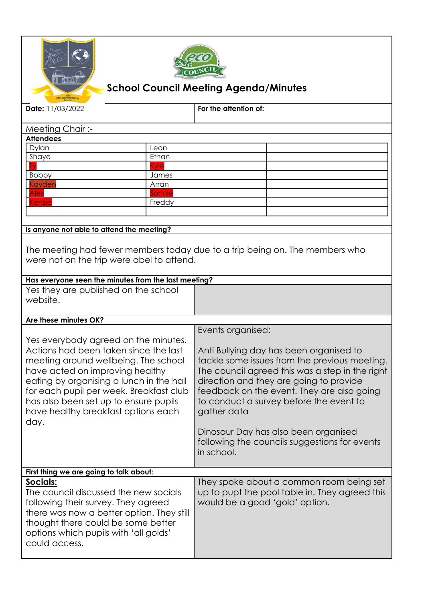



## **School Council Meeting Agenda/Minutes**

| Date: 11/03/2022                                                                                                                                                                                                                                                                                                                        |        | For the attention of:                                                                                                                                                                                                                                                                                                                                                                                 |  |  |
|-----------------------------------------------------------------------------------------------------------------------------------------------------------------------------------------------------------------------------------------------------------------------------------------------------------------------------------------|--------|-------------------------------------------------------------------------------------------------------------------------------------------------------------------------------------------------------------------------------------------------------------------------------------------------------------------------------------------------------------------------------------------------------|--|--|
| Meeting Chair:-                                                                                                                                                                                                                                                                                                                         |        |                                                                                                                                                                                                                                                                                                                                                                                                       |  |  |
| <b>Attendees</b>                                                                                                                                                                                                                                                                                                                        |        |                                                                                                                                                                                                                                                                                                                                                                                                       |  |  |
| Dylan                                                                                                                                                                                                                                                                                                                                   | Leon   |                                                                                                                                                                                                                                                                                                                                                                                                       |  |  |
| Shaye                                                                                                                                                                                                                                                                                                                                   | Ethan  |                                                                                                                                                                                                                                                                                                                                                                                                       |  |  |
|                                                                                                                                                                                                                                                                                                                                         | Kvle   |                                                                                                                                                                                                                                                                                                                                                                                                       |  |  |
| Bobby                                                                                                                                                                                                                                                                                                                                   | James  |                                                                                                                                                                                                                                                                                                                                                                                                       |  |  |
| Kayden                                                                                                                                                                                                                                                                                                                                  | Arran  |                                                                                                                                                                                                                                                                                                                                                                                                       |  |  |
| <b>Alex</b>                                                                                                                                                                                                                                                                                                                             | Sonnie |                                                                                                                                                                                                                                                                                                                                                                                                       |  |  |
| <b>Cenzie</b>                                                                                                                                                                                                                                                                                                                           | Freddy |                                                                                                                                                                                                                                                                                                                                                                                                       |  |  |
|                                                                                                                                                                                                                                                                                                                                         |        |                                                                                                                                                                                                                                                                                                                                                                                                       |  |  |
| Is anyone not able to attend the meeting?                                                                                                                                                                                                                                                                                               |        |                                                                                                                                                                                                                                                                                                                                                                                                       |  |  |
| The meeting had fewer members today due to a trip being on. The members who<br>were not on the trip were abel to attend.<br>Has everyone seen the minutes from the last meeting?                                                                                                                                                        |        |                                                                                                                                                                                                                                                                                                                                                                                                       |  |  |
| Yes they are published on the school                                                                                                                                                                                                                                                                                                    |        |                                                                                                                                                                                                                                                                                                                                                                                                       |  |  |
| website.                                                                                                                                                                                                                                                                                                                                |        |                                                                                                                                                                                                                                                                                                                                                                                                       |  |  |
| Are these minutes OK?                                                                                                                                                                                                                                                                                                                   |        |                                                                                                                                                                                                                                                                                                                                                                                                       |  |  |
| Yes everybody agreed on the minutes.<br>Actions had been taken since the last<br>meeting around wellbeing. The school<br>have acted on improving healthy<br>eating by organising a lunch in the hall<br>for each pupil per week. Breakfast club<br>has also been set up to ensure pupils<br>have healthy breakfast options each<br>day. |        | Events organised:                                                                                                                                                                                                                                                                                                                                                                                     |  |  |
|                                                                                                                                                                                                                                                                                                                                         |        | Anti Bullying day has been organised to<br>tackle some issues from the previous meeting.<br>The council agreed this was a step in the right<br>direction and they are going to provide<br>feedback on the event. They are also going<br>to conduct a survey before the event to<br>gather data<br>Dinosaur Day has also been organised<br>following the councils suggestions for events<br>in school. |  |  |
| First thing we are going to talk about:                                                                                                                                                                                                                                                                                                 |        |                                                                                                                                                                                                                                                                                                                                                                                                       |  |  |
| Socials:<br>The council discussed the new socials<br>following their survey. They agreed<br>there was now a better option. They still<br>thought there could be some better<br>options which pupils with 'all golds'<br>could access.                                                                                                   |        | They spoke about a common room being set<br>up to pupt the pool table in. They agreed this<br>would be a good 'gold' option.                                                                                                                                                                                                                                                                          |  |  |